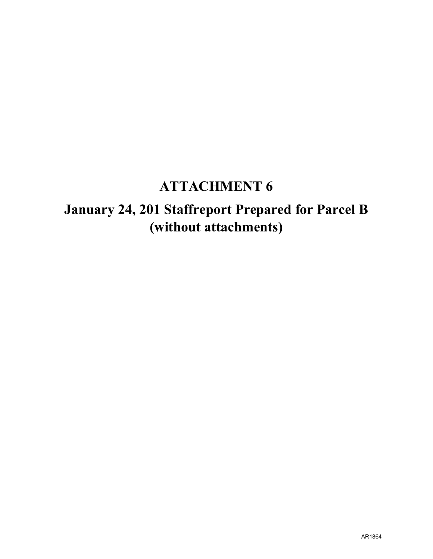# **ATTACHMENT 6**

# **January 24, 201 Staffreport Prepared for Parcel B (without attachments)**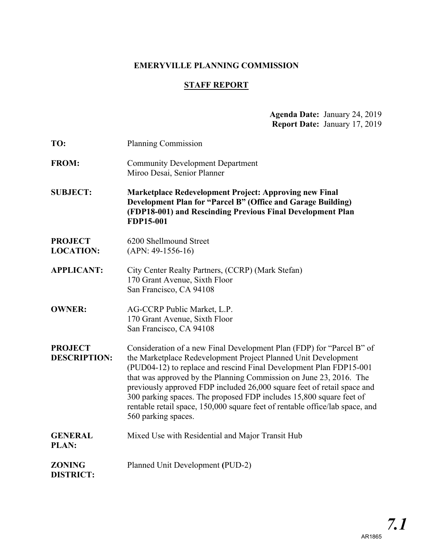# **EMERYVILLE PLANNING COMMISSION**

# **STAFF REPORT**

#### **Agenda Date:** January 24, 2019 **Report Date:** January 17, 2019

| TO:                                   | Planning Commission                                                                                                                                                                                                                                                                                                                                                                                                                                                                                                                          |  |  |
|---------------------------------------|----------------------------------------------------------------------------------------------------------------------------------------------------------------------------------------------------------------------------------------------------------------------------------------------------------------------------------------------------------------------------------------------------------------------------------------------------------------------------------------------------------------------------------------------|--|--|
| <b>FROM:</b>                          | <b>Community Development Department</b><br>Miroo Desai, Senior Planner                                                                                                                                                                                                                                                                                                                                                                                                                                                                       |  |  |
| <b>SUBJECT:</b>                       | <b>Marketplace Redevelopment Project: Approving new Final</b><br>Development Plan for "Parcel B" (Office and Garage Building)<br>(FDP18-001) and Rescinding Previous Final Development Plan<br>FDP15-001                                                                                                                                                                                                                                                                                                                                     |  |  |
| <b>PROJECT</b><br><b>LOCATION:</b>    | 6200 Shellmound Street<br>$(APN: 49-1556-16)$                                                                                                                                                                                                                                                                                                                                                                                                                                                                                                |  |  |
| <b>APPLICANT:</b>                     | City Center Realty Partners, (CCRP) (Mark Stefan)<br>170 Grant Avenue, Sixth Floor<br>San Francisco, CA 94108                                                                                                                                                                                                                                                                                                                                                                                                                                |  |  |
| <b>OWNER:</b>                         | AG-CCRP Public Market, L.P.<br>170 Grant Avenue, Sixth Floor<br>San Francisco, CA 94108                                                                                                                                                                                                                                                                                                                                                                                                                                                      |  |  |
| <b>PROJECT</b><br><b>DESCRIPTION:</b> | Consideration of a new Final Development Plan (FDP) for "Parcel B" of<br>the Marketplace Redevelopment Project Planned Unit Development<br>(PUD04-12) to replace and rescind Final Development Plan FDP15-001<br>that was approved by the Planning Commission on June 23, 2016. The<br>previously approved FDP included 26,000 square feet of retail space and<br>300 parking spaces. The proposed FDP includes 15,800 square feet of<br>rentable retail space, 150,000 square feet of rentable office/lab space, and<br>560 parking spaces. |  |  |
| <b>GENERAL</b><br>PLAN:               | Mixed Use with Residential and Major Transit Hub                                                                                                                                                                                                                                                                                                                                                                                                                                                                                             |  |  |
| <b>ZONING</b><br><b>DISTRICT:</b>     | Planned Unit Development (PUD-2)                                                                                                                                                                                                                                                                                                                                                                                                                                                                                                             |  |  |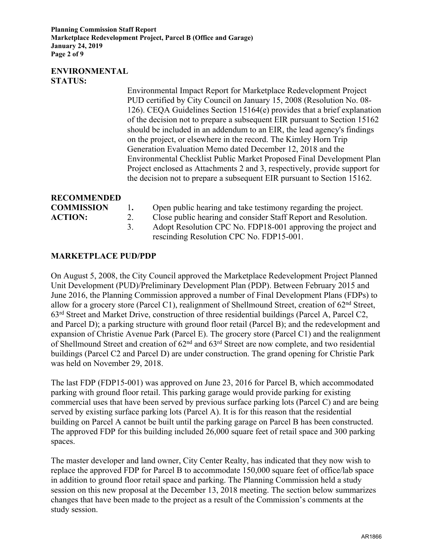**Planning Commission Staff Report Marketplace Redevelopment Project, Parcel B (Office and Garage) January 24, 2019 Page 2 of 9**

#### **ENVIRONMENTAL STATUS:**

Environmental Impact Report for Marketplace Redevelopment Project PUD certified by City Council on January 15, 2008 (Resolution No. 08- 126). CEQA Guidelines Section 15164(e) provides that a brief explanation of the decision not to prepare a subsequent EIR pursuant to Section 15162 should be included in an addendum to an EIR, the lead agency's findings on the project, or elsewhere in the record. The Kimley Horn Trip Generation Evaluation Memo dated December 12, 2018 and the Environmental Checklist Public Market Proposed Final Development Plan Project enclosed as Attachments 2 and 3, respectively, provide support for the decision not to prepare a subsequent EIR pursuant to Section 15162.

**RECOMMENDED**

- **COMMISSION** 1**.** Open public hearing and take testimony regarding the project.
- **ACTION:** 2. Close public hearing and consider Staff Report and Resolution.
	- 3. Adopt Resolution CPC No. FDP18-001 approving the project and rescinding Resolution CPC No. FDP15-001.

## **MARKETPLACE PUD/PDP**

On August 5, 2008, the City Council approved the Marketplace Redevelopment Project Planned Unit Development (PUD)/Preliminary Development Plan (PDP). Between February 2015 and June 2016, the Planning Commission approved a number of Final Development Plans (FDPs) to allow for a grocery store (Parcel C1), realignment of Shellmound Street, creation of 62nd Street, 63rd Street and Market Drive, construction of three residential buildings (Parcel A, Parcel C2, and Parcel D); a parking structure with ground floor retail (Parcel B); and the redevelopment and expansion of Christie Avenue Park (Parcel E). The grocery store (Parcel C1) and the realignment of Shellmound Street and creation of 62nd and 63rd Street are now complete, and two residential buildings (Parcel C2 and Parcel D) are under construction. The grand opening for Christie Park was held on November 29, 2018.

The last FDP (FDP15-001) was approved on June 23, 2016 for Parcel B, which accommodated parking with ground floor retail. This parking garage would provide parking for existing commercial uses that have been served by previous surface parking lots (Parcel C) and are being served by existing surface parking lots (Parcel A). It is for this reason that the residential building on Parcel A cannot be built until the parking garage on Parcel B has been constructed. The approved FDP for this building included 26,000 square feet of retail space and 300 parking spaces.

The master developer and land owner, City Center Realty, has indicated that they now wish to replace the approved FDP for Parcel B to accommodate 150,000 square feet of office/lab space in addition to ground floor retail space and parking. The Planning Commission held a study session on this new proposal at the December 13, 2018 meeting. The section below summarizes changes that have been made to the project as a result of the Commission's comments at the study session.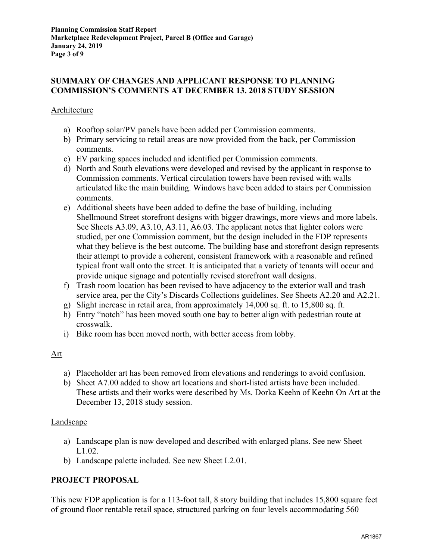#### **SUMMARY OF CHANGES AND APPLICANT RESPONSE TO PLANNING COMMISSION'S COMMENTS AT DECEMBER 13. 2018 STUDY SESSION**

#### Architecture

- a) Rooftop solar/PV panels have been added per Commission comments.
- b) Primary servicing to retail areas are now provided from the back, per Commission comments.
- c) EV parking spaces included and identified per Commission comments.
- d) North and South elevations were developed and revised by the applicant in response to Commission comments. Vertical circulation towers have been revised with walls articulated like the main building. Windows have been added to stairs per Commission comments.
- e) Additional sheets have been added to define the base of building, including Shellmound Street storefront designs with bigger drawings, more views and more labels. See Sheets A3.09, A3.10, A3.11, A6.03. The applicant notes that lighter colors were studied, per one Commission comment, but the design included in the FDP represents what they believe is the best outcome. The building base and storefront design represents their attempt to provide a coherent, consistent framework with a reasonable and refined typical front wall onto the street. It is anticipated that a variety of tenants will occur and provide unique signage and potentially revised storefront wall designs.
- f) Trash room location has been revised to have adjacency to the exterior wall and trash service area, per the City's Discards Collections guidelines. See Sheets A2.20 and A2.21.
- g) Slight increase in retail area, from approximately 14,000 sq. ft. to 15,800 sq. ft.
- h) Entry "notch" has been moved south one bay to better align with pedestrian route at crosswalk.
- i) Bike room has been moved north, with better access from lobby.

## Art

- a) Placeholder art has been removed from elevations and renderings to avoid confusion.
- b) Sheet A7.00 added to show art locations and short-listed artists have been included. These artists and their works were described by Ms. Dorka Keehn of Keehn On Art at the December 13, 2018 study session.

## Landscape

- a) Landscape plan is now developed and described with enlarged plans. See new Sheet L1.02.
- b) Landscape palette included. See new Sheet L2.01.

## **PROJECT PROPOSAL**

This new FDP application is for a 113-foot tall, 8 story building that includes 15,800 square feet of ground floor rentable retail space, structured parking on four levels accommodating 560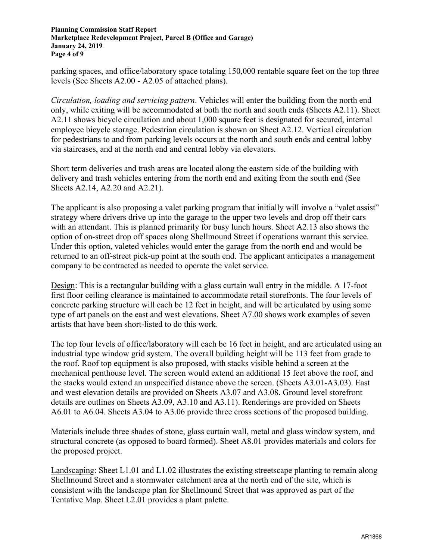#### **Planning Commission Staff Report Marketplace Redevelopment Project, Parcel B (Office and Garage) January 24, 2019 Page 4 of 9**

parking spaces, and office/laboratory space totaling 150,000 rentable square feet on the top three levels (See Sheets A2.00 - A2.05 of attached plans).

*Circulation, loading and servicing pattern*. Vehicles will enter the building from the north end only, while exiting will be accommodated at both the north and south ends (Sheets A2.11). Sheet A2.11 shows bicycle circulation and about 1,000 square feet is designated for secured, internal employee bicycle storage. Pedestrian circulation is shown on Sheet A2.12. Vertical circulation for pedestrians to and from parking levels occurs at the north and south ends and central lobby via staircases, and at the north end and central lobby via elevators.

Short term deliveries and trash areas are located along the eastern side of the building with delivery and trash vehicles entering from the north end and exiting from the south end (See Sheets A2.14, A2.20 and A2.21).

The applicant is also proposing a valet parking program that initially will involve a "valet assist" strategy where drivers drive up into the garage to the upper two levels and drop off their cars with an attendant. This is planned primarily for busy lunch hours. Sheet A2.13 also shows the option of on-street drop off spaces along Shellmound Street if operations warrant this service. Under this option, valeted vehicles would enter the garage from the north end and would be returned to an off-street pick-up point at the south end. The applicant anticipates a management company to be contracted as needed to operate the valet service.

Design: This is a rectangular building with a glass curtain wall entry in the middle. A 17-foot first floor ceiling clearance is maintained to accommodate retail storefronts. The four levels of concrete parking structure will each be 12 feet in height, and will be articulated by using some type of art panels on the east and west elevations. Sheet A7.00 shows work examples of seven artists that have been short-listed to do this work.

The top four levels of office/laboratory will each be 16 feet in height, and are articulated using an industrial type window grid system. The overall building height will be 113 feet from grade to the roof. Roof top equipment is also proposed, with stacks visible behind a screen at the mechanical penthouse level. The screen would extend an additional 15 feet above the roof, and the stacks would extend an unspecified distance above the screen. (Sheets A3.01-A3.03). East and west elevation details are provided on Sheets A3.07 and A3.08. Ground level storefront details are outlines on Sheets A3.09, A3.10 and A3.11). Renderings are provided on Sheets A6.01 to A6.04. Sheets A3.04 to A3.06 provide three cross sections of the proposed building.

Materials include three shades of stone, glass curtain wall, metal and glass window system, and structural concrete (as opposed to board formed). Sheet A8.01 provides materials and colors for the proposed project.

Landscaping: Sheet L1.01 and L1.02 illustrates the existing streetscape planting to remain along Shellmound Street and a stormwater catchment area at the north end of the site, which is consistent with the landscape plan for Shellmound Street that was approved as part of the Tentative Map. Sheet L2.01 provides a plant palette.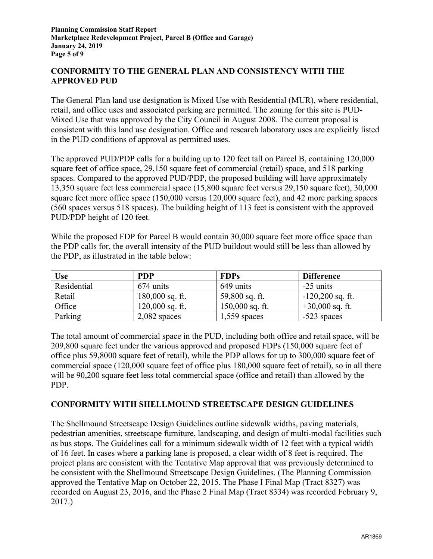#### **CONFORMITY TO THE GENERAL PLAN AND CONSISTENCY WITH THE APPROVED PUD**

The General Plan land use designation is Mixed Use with Residential (MUR), where residential, retail, and office uses and associated parking are permitted. The zoning for this site is PUD-Mixed Use that was approved by the City Council in August 2008. The current proposal is consistent with this land use designation. Office and research laboratory uses are explicitly listed in the PUD conditions of approval as permitted uses.

The approved PUD/PDP calls for a building up to 120 feet tall on Parcel B, containing 120,000 square feet of office space, 29,150 square feet of commercial (retail) space, and 518 parking spaces. Compared to the approved PUD/PDP, the proposed building will have approximately 13,350 square feet less commercial space (15,800 square feet versus 29,150 square feet), 30,000 square feet more office space (150,000 versus 120,000 square feet), and 42 more parking spaces (560 spaces versus 518 spaces). The building height of 113 feet is consistent with the approved PUD/PDP height of 120 feet.

While the proposed FDP for Parcel B would contain 30,000 square feet more office space than the PDP calls for, the overall intensity of the PUD buildout would still be less than allowed by the PDP, as illustrated in the table below:

| Use         | <b>PDP</b>        | <b>FDPs</b>       | <b>Difference</b>  |
|-------------|-------------------|-------------------|--------------------|
| Residential | 674 units         | 649 units         | $-25$ units        |
| Retail      | $180,000$ sq. ft. | 59,800 sq. ft.    | $-120,200$ sq. ft. |
| Office      | $120,000$ sq. ft. | $150,000$ sq. ft. | $+30,000$ sq. ft.  |
| Parking     | $2,082$ spaces    | $1,559$ spaces    | $-523$ spaces      |

The total amount of commercial space in the PUD, including both office and retail space, will be 209,800 square feet under the various approved and proposed FDPs (150,000 square feet of office plus 59,8000 square feet of retail), while the PDP allows for up to 300,000 square feet of commercial space (120,000 square feet of office plus 180,000 square feet of retail), so in all there will be 90,200 square feet less total commercial space (office and retail) than allowed by the PDP.

## **CONFORMITY WITH SHELLMOUND STREETSCAPE DESIGN GUIDELINES**

The Shellmound Streetscape Design Guidelines outline sidewalk widths, paving materials, pedestrian amenities, streetscape furniture, landscaping, and design of multi-modal facilities such as bus stops. The Guidelines call for a minimum sidewalk width of 12 feet with a typical width of 16 feet. In cases where a parking lane is proposed, a clear width of 8 feet is required. The project plans are consistent with the Tentative Map approval that was previously determined to be consistent with the Shellmound Streetscape Design Guidelines. (The Planning Commission approved the Tentative Map on October 22, 2015. The Phase I Final Map (Tract 8327) was recorded on August 23, 2016, and the Phase 2 Final Map (Tract 8334) was recorded February 9, 2017.)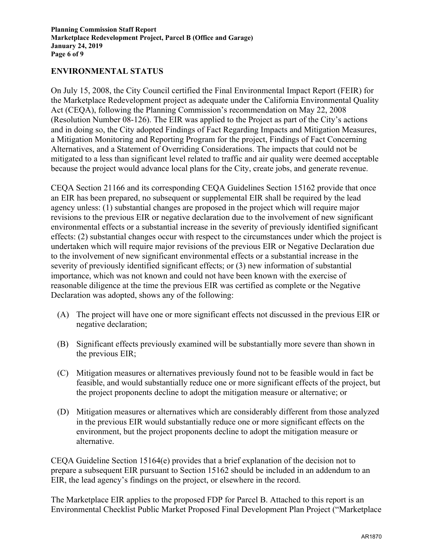#### **ENVIRONMENTAL STATUS**

On July 15, 2008, the City Council certified the Final Environmental Impact Report (FEIR) for the Marketplace Redevelopment project as adequate under the California Environmental Quality Act (CEQA), following the Planning Commission's recommendation on May 22, 2008 (Resolution Number 08-126). The EIR was applied to the Project as part of the City's actions and in doing so, the City adopted Findings of Fact Regarding Impacts and Mitigation Measures, a Mitigation Monitoring and Reporting Program for the project, Findings of Fact Concerning Alternatives, and a Statement of Overriding Considerations. The impacts that could not be mitigated to a less than significant level related to traffic and air quality were deemed acceptable because the project would advance local plans for the City, create jobs, and generate revenue.

CEQA Section 21166 and its corresponding CEQA Guidelines Section 15162 provide that once an EIR has been prepared, no subsequent or supplemental EIR shall be required by the lead agency unless: (1) substantial changes are proposed in the project which will require major revisions to the previous EIR or negative declaration due to the involvement of new significant environmental effects or a substantial increase in the severity of previously identified significant effects: (2) substantial changes occur with respect to the circumstances under which the project is undertaken which will require major revisions of the previous EIR or Negative Declaration due to the involvement of new significant environmental effects or a substantial increase in the severity of previously identified significant effects; or (3) new information of substantial importance, which was not known and could not have been known with the exercise of reasonable diligence at the time the previous EIR was certified as complete or the Negative Declaration was adopted, shows any of the following:

- (A) The project will have one or more significant effects not discussed in the previous EIR or negative declaration;
- (B) Significant effects previously examined will be substantially more severe than shown in the previous EIR;
- (C) Mitigation measures or alternatives previously found not to be feasible would in fact be feasible, and would substantially reduce one or more significant effects of the project, but the project proponents decline to adopt the mitigation measure or alternative; or
- (D) Mitigation measures or alternatives which are considerably different from those analyzed in the previous EIR would substantially reduce one or more significant effects on the environment, but the project proponents decline to adopt the mitigation measure or alternative.

CEQA Guideline Section  $15164(e)$  provides that a brief explanation of the decision not to prepare a subsequent EIR pursuant to Section 15162 should be included in an addendum to an EIR, the lead agency's findings on the project, or elsewhere in the record.

The Marketplace EIR applies to the proposed FDP for Parcel B. Attached to this report is an Environmental Checklist Public Market Proposed Final Development Plan Project ("Marketplace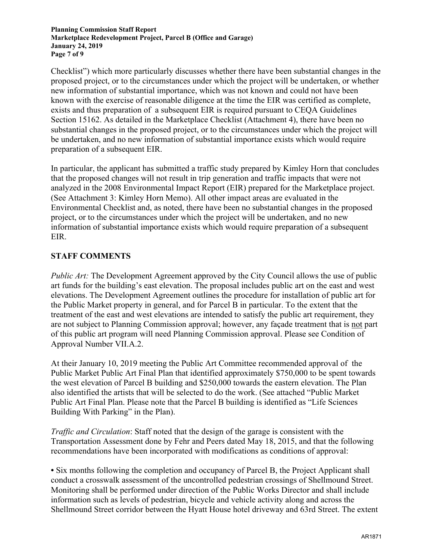**Planning Commission Staff Report Marketplace Redevelopment Project, Parcel B (Office and Garage) January 24, 2019 Page 7 of 9**

Checklist") which more particularly discusses whether there have been substantial changes in the proposed project, or to the circumstances under which the project will be undertaken, or whether new information of substantial importance, which was not known and could not have been known with the exercise of reasonable diligence at the time the EIR was certified as complete, exists and thus preparation of a subsequent EIR is required pursuant to CEQA Guidelines Section 15162. As detailed in the Marketplace Checklist (Attachment 4), there have been no substantial changes in the proposed project, or to the circumstances under which the project will be undertaken, and no new information of substantial importance exists which would require preparation of a subsequent EIR.

In particular, the applicant has submitted a traffic study prepared by Kimley Horn that concludes that the proposed changes will not result in trip generation and traffic impacts that were not analyzed in the 2008 Environmental Impact Report (EIR) prepared for the Marketplace project. (See Attachment 3: Kimley Horn Memo). All other impact areas are evaluated in the Environmental Checklist and, as noted, there have been no substantial changes in the proposed project, or to the circumstances under which the project will be undertaken, and no new information of substantial importance exists which would require preparation of a subsequent EIR.

## **STAFF COMMENTS**

*Public Art:* The Development Agreement approved by the City Council allows the use of public art funds for the building's east elevation. The proposal includes public art on the east and west elevations. The Development Agreement outlines the procedure for installation of public art for the Public Market property in general, and for Parcel B in particular. To the extent that the treatment of the east and west elevations are intended to satisfy the public art requirement, they are not subject to Planning Commission approval; however, any façade treatment that is not part of this public art program will need Planning Commission approval. Please see Condition of Approval Number VII.A.2.

At their January 10, 2019 meeting the Public Art Committee recommended approval of the Public Market Public Art Final Plan that identified approximately \$750,000 to be spent towards the west elevation of Parcel B building and \$250,000 towards the eastern elevation. The Plan also identified the artists that will be selected to do the work. (See attached "Public Market Public Art Final Plan. Please note that the Parcel B building is identified as "Life Sciences Building With Parking" in the Plan).

*Traffic and Circulation*: Staff noted that the design of the garage is consistent with the Transportation Assessment done by Fehr and Peers dated May 18, 2015, and that the following recommendations have been incorporated with modifications as conditions of approval:

**•** Six months following the completion and occupancy of Parcel B, the Project Applicant shall conduct a crosswalk assessment of the uncontrolled pedestrian crossings of Shellmound Street. Monitoring shall be performed under direction of the Public Works Director and shall include information such as levels of pedestrian, bicycle and vehicle activity along and across the Shellmound Street corridor between the Hyatt House hotel driveway and 63rd Street. The extent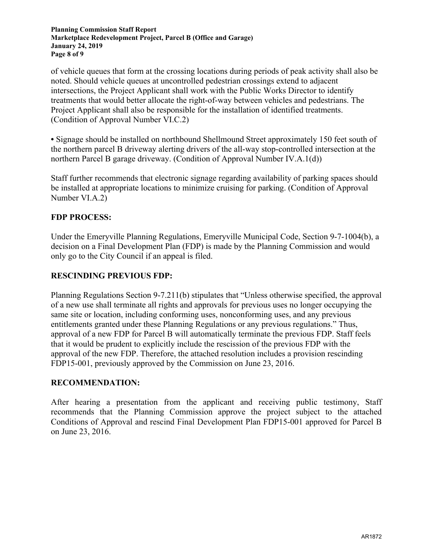**Planning Commission Staff Report Marketplace Redevelopment Project, Parcel B (Office and Garage) January 24, 2019 Page 8 of 9**

of vehicle queues that form at the crossing locations during periods of peak activity shall also be noted. Should vehicle queues at uncontrolled pedestrian crossings extend to adjacent intersections, the Project Applicant shall work with the Public Works Director to identify treatments that would better allocate the right-of-way between vehicles and pedestrians. The Project Applicant shall also be responsible for the installation of identified treatments. (Condition of Approval Number VI.C.2)

**•** Signage should be installed on northbound Shellmound Street approximately 150 feet south of the northern parcel B driveway alerting drivers of the all-way stop-controlled intersection at the northern Parcel B garage driveway. (Condition of Approval Number IV.A.1(d))

Staff further recommends that electronic signage regarding availability of parking spaces should be installed at appropriate locations to minimize cruising for parking. (Condition of Approval Number VI.A.2)

## **FDP PROCESS:**

Under the Emeryville Planning Regulations, Emeryville Municipal Code, Section 9-7-1004(b), a decision on a Final Development Plan (FDP) is made by the Planning Commission and would only go to the City Council if an appeal is filed.

# **RESCINDING PREVIOUS FDP:**

Planning Regulations Section 9-7.211(b) stipulates that "Unless otherwise specified, the approval of a new use shall terminate all rights and approvals for previous uses no longer occupying the same site or location, including conforming uses, nonconforming uses, and any previous entitlements granted under these Planning Regulations or any previous regulations." Thus, approval of a new FDP for Parcel B will automatically terminate the previous FDP. Staff feels that it would be prudent to explicitly include the rescission of the previous FDP with the approval of the new FDP. Therefore, the attached resolution includes a provision rescinding FDP15-001, previously approved by the Commission on June 23, 2016.

## **RECOMMENDATION:**

After hearing a presentation from the applicant and receiving public testimony, Staff recommends that the Planning Commission approve the project subject to the attached Conditions of Approval and rescind Final Development Plan FDP15-001 approved for Parcel B on June 23, 2016.